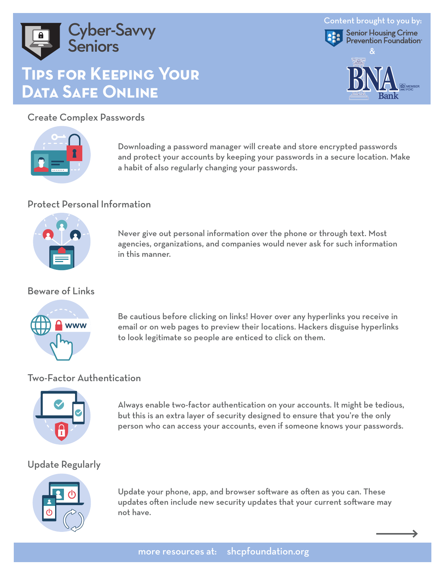

# **Tips for Keeping Your Data Safe Online**

Create Complex Passwords



Downloading a password manager will create and store encrypted passwords and protect your accounts by keeping your passwords in a secure location. Make a habit of also regularly changing your passwords.

Content brought to you by:

Senior Housing Crime<br>Prevention Foundation

&

B **A** ank

**BN**

#### Protect Personal Information



Never give out personal information over the phone or through text. Most agencies, organizations, and companies would never ask for such information in this manner.

#### Beware of Links



Be cautious before clicking on links! Hover over any hyperlinks you receive in email or on web pages to preview their locations. Hackers disguise hyperlinks to look legitimate so people are enticed to click on them.

## Two-Factor Authentication



Always enable two-factor authentication on your accounts. It might be tedious, but this is an extra layer of security designed to ensure that you're the only person who can access your accounts, even if someone knows your passwords.

# Update Regularly



Update your phone, app, and browser software as often as you can. These updates often include new security updates that your current software may not have.